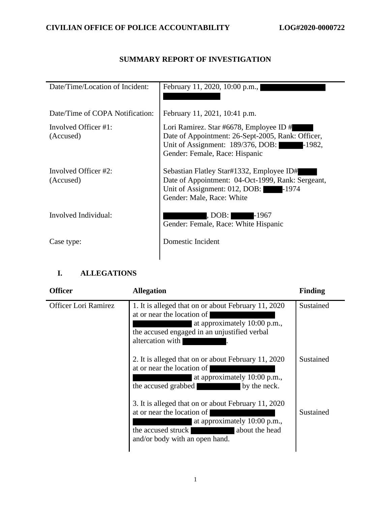## **SUMMARY REPORT OF INVESTIGATION**

| Date/Time/Location of Incident:       | February 11, 2020, 10:00 p.m.,                                                                                                                                             |
|---------------------------------------|----------------------------------------------------------------------------------------------------------------------------------------------------------------------------|
| Date/Time of COPA Notification:       | February 11, 2021, 10:41 p.m.                                                                                                                                              |
| Involved Officer $\#1$ :<br>(Accused) | Lori Ramirez. Star #6678, Employee ID #<br>Date of Appointment: 26-Sept-2005, Rank: Officer,<br>Unit of Assignment: 189/376, DOB: -1982,<br>Gender: Female, Race: Hispanic |
| Involved Officer #2:<br>(Accused)     | Sebastian Flatley Star#1332, Employee ID#<br>Date of Appointment: 04-Oct-1999, Rank: Sergeant,<br>Unit of Assignment: 012, DOB: -1974<br>Gender: Male, Race: White         |
| Involved Individual:                  | , DOB: -1967<br>Gender: Female, Race: White Hispanic                                                                                                                       |
| Case type:                            | Domestic Incident                                                                                                                                                          |

## **I. ALLEGATIONS**

| <b>Officer</b>              | <b>Allegation</b>                                                                                                                                                                           | <b>Finding</b> |
|-----------------------------|---------------------------------------------------------------------------------------------------------------------------------------------------------------------------------------------|----------------|
| <b>Officer Lori Ramirez</b> | 1. It is alleged that on or about February 11, 2020<br>at or near the location of<br>at approximately 10:00 p.m.,<br>the accused engaged in an unjustified verbal<br>altercation with       | Sustained      |
|                             | 2. It is alleged that on or about February 11, 2020<br>at or near the location of<br>at approximately 10:00 p.m.,<br>the accused grabbed<br>by the neck.                                    | Sustained      |
|                             | 3. It is alleged that on or about February 11, 2020<br>at or near the location of<br>at approximately 10:00 p.m.,<br>the accused struck<br>about the head<br>and/or body with an open hand. | Sustained      |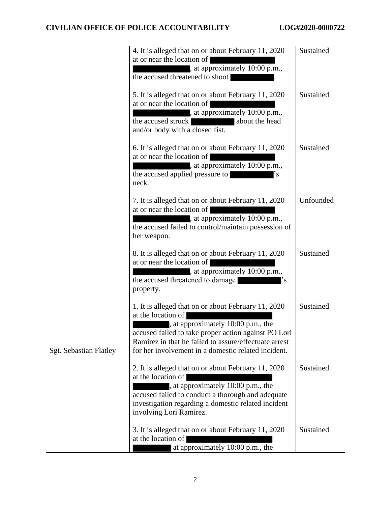|                               | 4. It is alleged that on or about February 11, 2020<br>at or near the location of<br>, at approximately 10:00 p.m.,<br>the accused threatened to shoot                                                                                                                                  | Sustained |
|-------------------------------|-----------------------------------------------------------------------------------------------------------------------------------------------------------------------------------------------------------------------------------------------------------------------------------------|-----------|
|                               | 5. It is alleged that on or about February 11, 2020<br>at or near the location of<br>, at approximately 10:00 p.m.,<br>the accused struck<br>about the head<br>and/or body with a closed fist.                                                                                          | Sustained |
|                               | 6. It is alleged that on or about February 11, 2020<br>at or near the location of<br>, at approximately 10:00 p.m.,<br>the accused applied pressure to<br>$\cdot_{\rm s}$<br>neck.                                                                                                      | Sustained |
|                               | 7. It is alleged that on or about February 11, 2020<br>at or near the location of<br>, at approximately 10:00 p.m.,<br>the accused failed to control/maintain possession of<br>her weapon.                                                                                              | Unfounded |
|                               | 8. It is alleged that on or about February 11, 2020<br>at or near the location of<br>, at approximately 10:00 p.m.,<br>the accused threatened to damage<br>'s<br>property.                                                                                                              | Sustained |
| <b>Sgt. Sebastian Flatley</b> | 1. It is alleged that on or about February 11, 2020<br>at the location of<br>, at approximately 10:00 p.m., the<br>accused failed to take proper action against PO Lori<br>Ramirez in that he failed to assure/effectuate arrest<br>for her involvement in a domestic related incident. | Sustained |
|                               | 2. It is alleged that on or about February 11, 2020<br>at the location of<br>at approximately 10:00 p.m., the<br>accused failed to conduct a thorough and adequate<br>investigation regarding a domestic related incident<br>involving Lori Ramirez.                                    | Sustained |
|                               | 3. It is alleged that on or about February 11, 2020<br>at the location of<br>at approximately 10:00 p.m., the                                                                                                                                                                           | Sustained |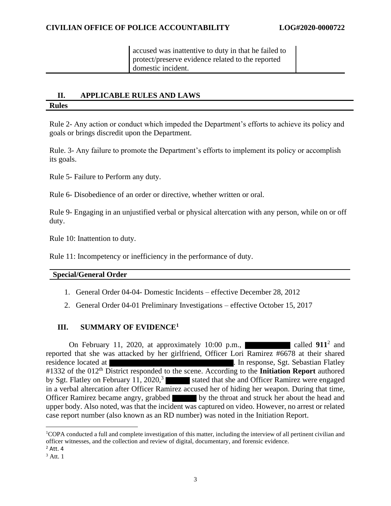protect/preserve evidence related to the reported<br>domestic incident. accused was inattentive to duty in that he failed to domestic incident.

## **II. APPLICABLE RULES AND LAWS Rules**

Rule 2- Any action or conduct which impeded the Department's efforts to achieve its policy and goals or brings discredit upon the Department.

Rule. 3- Any failure to promote the Department's efforts to implement its policy or accomplish its goals.

Rule 5- Failure to Perform any duty.

Rule 6- Disobedience of an order or directive, whether written or oral.

Rule 9- Engaging in an unjustified verbal or physical altercation with any person, while on or off duty.

Rule 10: Inattention to duty.

Rule 11: Incompetency or inefficiency in the performance of duty.

#### **Special/General Order**

- 1. General Order 04-04- Domestic Incidents effective December 28, 2012
- 2. General Order 04-01 Preliminary Investigations effective October 15, 2017

## **III. SUMMARY OF EVIDENCE<sup>1</sup>**

On February 11, 2020, at approximately  $10:00$  p.m.,  $\blacksquare$  called  $911^2$  and reported that she was attacked by her girlfriend, Officer Lori Ramirez #6678 at their shared residence located at **The Contract Exercise 2.** In response, Sgt. Sebastian Flatley #1332 of the 012<sup>th</sup> District responded to the scene. According to the **Initiation Report** authored by Sgt. Flatley on February 11, 2020,<sup>3</sup> stated that she and Officer Ramirez were engaged in a verbal altercation after Officer Ramirez accused her of hiding her weapon. During that time, Officer Ramirez became angry, grabbed by the throat and struck her about the head and upper body. Also noted, was that the incident was captured on video. However, no arrest or related case report number (also known as an RD number) was noted in the Initiation Report.

<sup>1</sup>COPA conducted a full and complete investigation of this matter, including the interview of all pertinent civilian and officer witnesses, and the collection and review of digital, documentary, and forensic evidence.

 $<sup>2</sup>$  Att. 4</sup>

 $3$  Att. 1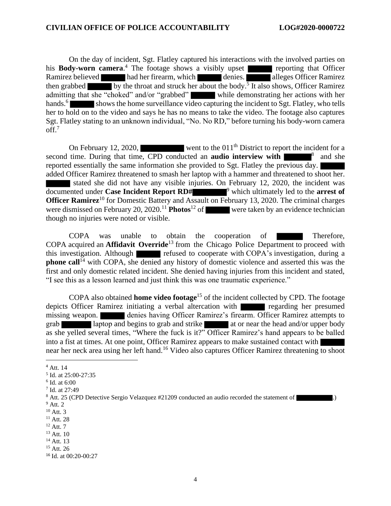On the day of incident, Sgt. Flatley captured his interactions with the involved parties on his **Body-worn camera**.<sup>4</sup> The footage shows a visibly upset reporting that Officer Ramirez believed had her firearm, which denies. alleges Officer Ramirez then grabbed by the throat and struck her about the body.<sup>5</sup> It also shows, Officer Ramirez admitting that she "choked" and/or "grabbed" while demonstrating her actions with her hands.<sup>6</sup> shows the home surveillance video capturing the incident to Sgt. Flatley, who tells her to hold on to the video and says he has no means to take the video. The footage also captures Sgt. Flatley stating to an unknown individual, "No. No RD," before turning his body-worn camera off.<sup>7</sup>

On February 12, 2020, went to the  $011<sup>th</sup>$  District to report the incident for a second time. During that time, CPD conducted an **audio** interview with  $8^8$  and she reported essentially the same information she provided to Sgt. Flatley the previous day. added Officer Ramirez threatened to smash her laptop with a hammer and threatened to shoot her. stated she did not have any visible injuries. On February 12, 2020, the incident was documented under **Case Incident Report RD#** <sup>9</sup> which ultimately led to the **arrest of Officer Ramirez**<sup>10</sup> for Domestic Battery and Assault on February 13, 2020. The criminal charges were dismissed on February 20, 2020.<sup>11</sup> **Photos**<sup>12</sup> of were taken by an evidence technician though no injuries were noted or visible.

COPA was unable to obtain the cooperation of Therefore, COPA acquired an **Affidavit Override**<sup>13</sup> from the Chicago Police Department to proceed with this investigation. Although refused to cooperate with COPA's investigation, during a **phone call**<sup>14</sup> with COPA, she denied any history of domestic violence and asserted this was the first and only domestic related incident. She denied having injuries from this incident and stated, "I see this as a lesson learned and just think this was one traumatic experience."

COPA also obtained **home video footage**<sup>15</sup> of the incident collected by CPD. The footage depicts Officer Ramirez initiating a verbal altercation with regarding her presumed missing weapon. denies having Officer Ramirez's firearm. Officer Ramirez attempts to grab laptop and begins to grab and strike at or near the head and/or upper body as she yelled several times, "Where the fuck is it?" Officer Ramirez's hand appears to be balled into a fist at times. At one point, Officer Ramirez appears to make sustained contact with near her neck area using her left hand.<sup>16</sup> Video also captures Officer Ramirez threatening to shoot

7 Id. at 27:49

- $10$  Att. 3
- $11$  Att. 28
- $12$  Att. 7
- $13$  Att. 10
- <sup>14</sup> Att. 13
- <sup>15</sup> Att. 26

<sup>4</sup> Att. 14

<sup>5</sup> Id. at 25:00-27:35

<sup>6</sup> Id. at 6:00

<sup>&</sup>lt;sup>8</sup> Att. 25 (CPD Detective Sergio Velazquez #21209 conducted an audio recorded the statement of  $9$  Att. 2

<sup>16</sup> Id. at 00:20-00:27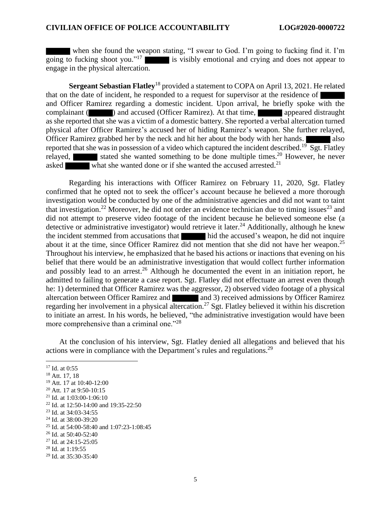when she found the weapon stating, "I swear to God. I'm going to fucking find it. I'm going to fucking shoot you."<sup>17</sup> is visibly emotional and crying and does not appear to engage in the physical altercation.

**Sergeant Sebastian Flatley**<sup>18</sup> provided a statement to COPA on April 13, 2021. He related that on the date of incident, he responded to a request for supervisor at the residence of and Officer Ramirez regarding a domestic incident. Upon arrival, he briefly spoke with the complainant ( ) and accused (Officer Ramirez). At that time, appeared distraught as she reported that she was a victim of a domestic battery. She reported a verbal altercation turned physical after Officer Ramirez's accused her of hiding Ramirez's weapon. She further relayed, Officer Ramirez grabbed her by the neck and hit her about the body with her hands. reported that she was in possession of a video which captured the incident described.<sup>19</sup> Sgt. Flatley relayed, stated she wanted something to be done multiple times.<sup>20</sup> However, he never asked what she wanted done or if she wanted the accused arrested.<sup>21</sup>

Regarding his interactions with Officer Ramirez on February 11, 2020, Sgt. Flatley confirmed that he opted not to seek the officer's account because he believed a more thorough investigation would be conducted by one of the administrative agencies and did not want to taint that investigation.<sup>22</sup> Moreover, he did not order an evidence technician due to timing issues<sup>23</sup> and did not attempt to preserve video footage of the incident because he believed someone else (a detective or administrative investigator) would retrieve it later.<sup>24</sup> Additionally, although he knew the incident stemmed from accusations that hid the accused's weapon, he did not inquire about it at the time, since Officer Ramirez did not mention that she did not have her weapon.<sup>25</sup> Throughout his interview, he emphasized that he based his actions or inactions that evening on his belief that there would be an administrative investigation that would collect further information and possibly lead to an arrest.<sup>26</sup> Although he documented the event in an initiation report, he admitted to failing to generate a case report. Sgt. Flatley did not effectuate an arrest even though he: 1) determined that Officer Ramirez was the aggressor, 2) observed video footage of a physical altercation between Officer Ramirez and and 3) received admissions by Officer Ramirez regarding her involvement in a physical altercation.<sup>27</sup> Sgt. Flatley believed it within his discretion to initiate an arrest. In his words, he believed, "the administrative investigation would have been more comprehensive than a criminal one."<sup>28</sup>

At the conclusion of his interview, Sgt. Flatley denied all allegations and believed that his actions were in compliance with the Department's rules and regulations.<sup>29</sup>

<sup>28</sup> Id. at 1:19:55

<sup>&</sup>lt;sup>17</sup> Id. at 0:55

<sup>18</sup> Att. 17, 18

<sup>19</sup> Att. 17 at 10:40-12:00

<sup>20</sup> Att. 17 at 9:50-10:15

<sup>21</sup> Id. at 1:03:00-1:06:10

<sup>22</sup> Id. at 12:50-14:00 and 19:35-22:50

<sup>23</sup> Id. at 34:03-34:55

<sup>24</sup> Id. at 38:00-39:20

<sup>25</sup> Id. at 54:00-58:40 and 1:07:23-1:08:45

<sup>26</sup> Id. at 50:40-52:40

<sup>27</sup> Id. at 24:15-25:05

<sup>29</sup> Id. at 35:30-35:40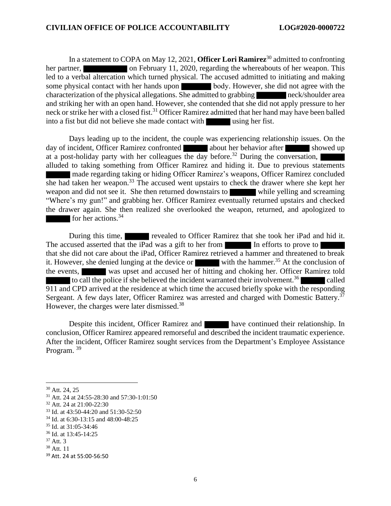In a statement to COPA on May 12, 2021, **Officer Lori Ramirez**<sup>30</sup> admitted to confronting her partner, on February 11, 2020, regarding the whereabouts of her weapon. This led to a verbal altercation which turned physical. The accused admitted to initiating and making some physical contact with her hands upon body. However, she did not agree with the characterization of the physical allegations. She admitted to grabbing neck/shoulder area and striking her with an open hand. However, she contended that she did not apply pressure to her neck or strike her with a closed fist. <sup>31</sup> Officer Ramirez admitted that her hand may have been balled into a fist but did not believe she made contact with using her fist.

Days leading up to the incident, the couple was experiencing relationship issues. On the day of incident, Officer Ramirez confronted about her behavior after showed up at a post-holiday party with her colleagues the day before.<sup>32</sup> During the conversation, alluded to taking something from Officer Ramirez and hiding it. Due to previous statements made regarding taking or hiding Officer Ramirez's weapons, Officer Ramirez concluded she had taken her weapon.<sup>33</sup> The accused went upstairs to check the drawer where she kept her weapon and did not see it. She then returned downstairs to while yelling and screaming "Where's my gun!" and grabbing her. Officer Ramirez eventually returned upstairs and checked the drawer again. She then realized she overlooked the weapon, returned, and apologized to for her actions.<sup>34</sup>

During this time, revealed to Officer Ramirez that she took her iPad and hid it. The accused asserted that the iPad was a gift to her from In efforts to prove to that she did not care about the iPad, Officer Ramirez retrieved a hammer and threatened to break it. However, she denied lunging at the device or with the hammer.<sup>35</sup> At the conclusion of the events, was upset and accused her of hitting and choking her. Officer Ramirez told to call the police if she believed the incident warranted their involvement.<sup>36</sup> **alled** 911 and CPD arrived at the residence at which time the accused briefly spoke with the responding Sergeant. A few days later, Officer Ramirez was arrested and charged with Domestic Battery.<sup>37</sup> However, the charges were later dismissed.<sup>38</sup>

Despite this incident, Officer Ramirez and have continued their relationship. In conclusion, Officer Ramirez appeared remorseful and described the incident traumatic experience. After the incident, Officer Ramirez sought services from the Department's Employee Assistance Program.<sup>39</sup>

<sup>30</sup> Att. 24, 25

<sup>31</sup> Att. 24 at 24:55-28:30 and 57:30-1:01:50

<sup>32</sup> Att. 24 at 21:00-22:30

<sup>33</sup> Id. at 43:50-44:20 and 51:30-52:50

<sup>34</sup> Id. at 6:30-13:15 and 48:00-48:25

<sup>35</sup> Id. at 31:05-34:46

<sup>36</sup> Id. at 13:45-14:25

<sup>37</sup> Att. 3

<sup>38</sup> Att. 11

<sup>39</sup> Att. 24 at 55:00-56:50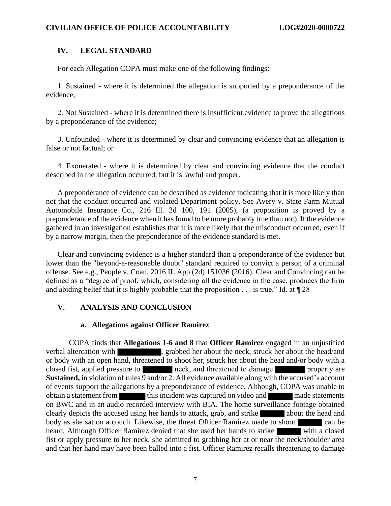## **IV. LEGAL STANDARD**

For each Allegation COPA must make one of the following findings:

1. Sustained - where it is determined the allegation is supported by a preponderance of the evidence;

2. Not Sustained - where it is determined there is insufficient evidence to prove the allegations by a preponderance of the evidence;

3. Unfounded - where it is determined by clear and convincing evidence that an allegation is false or not factual; or

4. Exonerated - where it is determined by clear and convincing evidence that the conduct described in the allegation occurred, but it is lawful and proper.

A preponderance of evidence can be described as evidence indicating that it is more likely than not that the conduct occurred and violated Department policy. See Avery v. State Farm Mutual Automobile Insurance Co., 216 Ill. 2d 100, 191 (2005), (a proposition is proved by a preponderance of the evidence when it has found to be more probably true than not). If the evidence gathered in an investigation establishes that it is more likely that the misconduct occurred, even if by a narrow margin, then the preponderance of the evidence standard is met.

Clear and convincing evidence is a higher standard than a preponderance of the evidence but lower than the "beyond-a-reasonable doubt" standard required to convict a person of a criminal offense. See e.g., People v. Coan, 2016 IL App (2d) 151036 (2016). Clear and Convincing can be defined as a "degree of proof, which, considering all the evidence in the case, produces the firm and abiding belief that it is highly probable that the proposition  $\dots$  is true." Id. at  $\P$  28

## **V. ANALYSIS AND CONCLUSION**

## **a. Allegations against Officer Ramirez**

COPA finds that **Allegations 1-6 and 8** that **Officer Ramirez** engaged in an unjustified verbal altercation with states with states are struck her about the head/and states about the head/and or body with an open hand, threatened to shoot her, struck her about the head and/or body with a closed fist, applied pressure to neck, and threatened to damage property are **Sustained,** in violation of rules 9 and/or 2. All evidence available along with the accused's account of events support the allegations by a preponderance of evidence. Although, COPA was unable to obtain a statement from this incident was captured on video and made statements on BWC and in an audio recorded interview with BIA. The home surveillance footage obtained clearly depicts the accused using her hands to attack, grab, and strike about the head and body as she sat on a couch. Likewise, the threat Officer Ramirez made to shoot can be heard. Although Officer Ramirez denied that she used her hands to strike with a closed fist or apply pressure to her neck, she admitted to grabbing her at or near the neck/shoulder area and that her hand may have been balled into a fist. Officer Ramirez recalls threatening to damage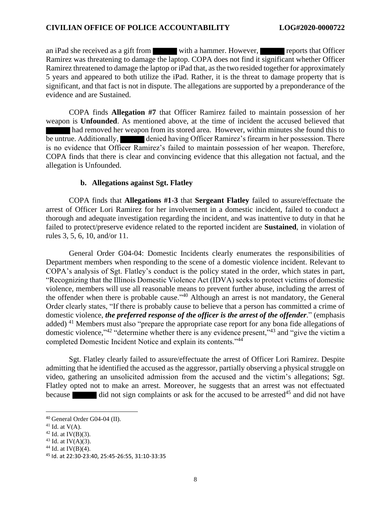an iPad she received as a gift from with a hammer. However, reports that Officer Ramirez was threatening to damage the laptop. COPA does not find it significant whether Officer Ramirez threatened to damage the laptop or iPad that, as the two resided together for approximately 5 years and appeared to both utilize the iPad. Rather, it is the threat to damage property that is significant, and that fact is not in dispute. The allegations are supported by a preponderance of the evidence and are Sustained.

COPA finds **Allegation #7** that Officer Ramirez failed to maintain possession of her weapon is **Unfounded**. As mentioned above, at the time of incident the accused believed that had removed her weapon from its stored area. However, within minutes she found this to be untrue. Additionally, denied having Officer Ramirez's firearm in her possession. There is no evidence that Officer Ramirez's failed to maintain possession of her weapon. Therefore, COPA finds that there is clear and convincing evidence that this allegation not factual, and the allegation is Unfounded.

## **b. Allegations against Sgt. Flatley**

COPA finds that **Allegations #1-3** that **Sergeant Flatley** failed to assure/effectuate the arrest of Officer Lori Ramirez for her involvement in a domestic incident, failed to conduct a thorough and adequate investigation regarding the incident, and was inattentive to duty in that he failed to protect/preserve evidence related to the reported incident are **Sustained**, in violation of rules 3, 5, 6, 10, and/or 11.

General Order G04-04: Domestic Incidents clearly enumerates the responsibilities of Department members when responding to the scene of a domestic violence incident. Relevant to COPA's analysis of Sgt. Flatley's conduct is the policy stated in the order, which states in part, "Recognizing that the Illinois Domestic Violence Act (IDVA) seeks to protect victims of domestic violence, members will use all reasonable means to prevent further abuse, including the arrest of the offender when there is probable cause."<sup>40</sup> Although an arrest is not mandatory, the General Order clearly states, "If there is probably cause to believe that a person has committed a crime of domestic violence, *the preferred response of the officer is the arrest of the offender*." (emphasis added) <sup>41</sup> Members must also "prepare the appropriate case report for any bona fide allegations of domestic violence,"<sup>42</sup> "determine whether there is any evidence present,"<sup>43</sup> and "give the victim a completed Domestic Incident Notice and explain its contents."<sup>44</sup>

Sgt. Flatley clearly failed to assure/effectuate the arrest of Officer Lori Ramirez. Despite admitting that he identified the accused as the aggressor, partially observing a physical struggle on video, gathering an unsolicited admission from the accused and the victim's allegations; Sgt. Flatley opted not to make an arrest. Moreover, he suggests that an arrest was not effectuated because did not sign complaints or ask for the accused to be arrested<sup>45</sup> and did not have

<sup>40</sup> General Order G04-04 (II).

 $41$  Id. at V(A).

 $42$  Id. at IV(B)(3).

 $43$  Id. at IV(A)(3).

 $44$  Id. at IV(B)(4).

<sup>45</sup> Id. at 22:30-23:40, 25:45-26:55, 31:10-33:35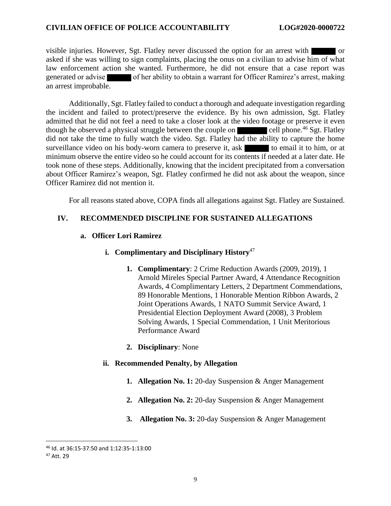visible injuries. However, Sgt. Flatley never discussed the option for an arrest with or asked if she was willing to sign complaints, placing the onus on a civilian to advise him of what law enforcement action she wanted. Furthermore, he did not ensure that a case report was generated or advise of her ability to obtain a warrant for Officer Ramirez's arrest, making an arrest improbable.

Additionally, Sgt. Flatley failed to conduct a thorough and adequate investigation regarding the incident and failed to protect/preserve the evidence. By his own admission, Sgt. Flatley admitted that he did not feel a need to take a closer look at the video footage or preserve it even though he observed a physical struggle between the couple on cell phone.<sup>46</sup> Sgt. Flatley did not take the time to fully watch the video. Sgt. Flatley had the ability to capture the home surveillance video on his body-worn camera to preserve it, ask to email it to him, or at minimum observe the entire video so he could account for its contents if needed at a later date. He took none of these steps. Additionally, knowing that the incident precipitated from a conversation about Officer Ramirez's weapon, Sgt. Flatley confirmed he did not ask about the weapon, since Officer Ramirez did not mention it.

For all reasons stated above, COPA finds all allegations against Sgt. Flatley are Sustained.

## **IV. RECOMMENDED DISCIPLINE FOR SUSTAINED ALLEGATIONS**

## **a. Officer Lori Ramirez**

#### **i. Complimentary and Disciplinary History**<sup>47</sup>

- **1. Complimentary**: 2 Crime Reduction Awards (2009, 2019), 1 Arnold Mireles Special Partner Award, 4 Attendance Recognition Awards, 4 Complimentary Letters, 2 Department Commendations, 89 Honorable Mentions, 1 Honorable Mention Ribbon Awards, 2 Joint Operations Awards, 1 NATO Summit Service Award, 1 Presidential Election Deployment Award (2008), 3 Problem Solving Awards, 1 Special Commendation, 1 Unit Meritorious Performance Award
- **2. Disciplinary**: None

## **ii. Recommended Penalty, by Allegation**

- **1. Allegation No. 1:** 20-day Suspension & Anger Management
- **2. Allegation No. 2:** 20-day Suspension & Anger Management
- **3. Allegation No. 3:** 20-day Suspension & Anger Management

<sup>46</sup> Id. at 36:15-37:50 and 1:12:35-1:13:00

<sup>47</sup> Att. 29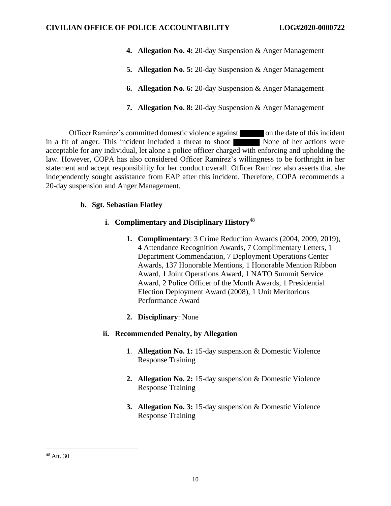- **4. Allegation No. 4:** 20-day Suspension & Anger Management
- **5. Allegation No. 5:** 20-day Suspension & Anger Management
- **6. Allegation No. 6:** 20-day Suspension & Anger Management
- **7. Allegation No. 8:** 20-day Suspension & Anger Management

Officer Ramirez's committed domestic violence against on the date of this incident in a fit of anger. This incident included a threat to shoot None of her actions were acceptable for any individual, let alone a police officer charged with enforcing and upholding the law. However, COPA has also considered Officer Ramirez's willingness to be forthright in her statement and accept responsibility for her conduct overall. Officer Ramirez also asserts that she independently sought assistance from EAP after this incident. Therefore, COPA recommends a 20-day suspension and Anger Management.

## **b. Sgt. Sebastian Flatley**

## **i. Complimentary and Disciplinary History**<sup>48</sup>

- **1. Complimentary**: 3 Crime Reduction Awards (2004, 2009, 2019), 4 Attendance Recognition Awards, 7 Complimentary Letters, 1 Department Commendation, 7 Deployment Operations Center Awards, 137 Honorable Mentions, 1 Honorable Mention Ribbon Award, 1 Joint Operations Award, 1 NATO Summit Service Award, 2 Police Officer of the Month Awards, 1 Presidential Election Deployment Award (2008), 1 Unit Meritorious Performance Award
- **2. Disciplinary**: None

## **ii. Recommended Penalty, by Allegation**

- 1. **Allegation No. 1:** 15-day suspension & Domestic Violence Response Training
- **2. Allegation No. 2:** 15-day suspension & Domestic Violence Response Training
- **3. Allegation No. 3:** 15-day suspension & Domestic Violence Response Training

<sup>48</sup> Att. 30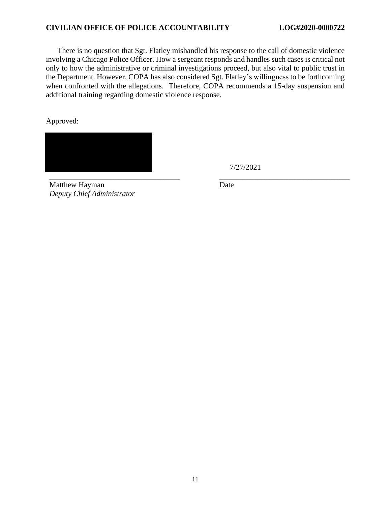There is no question that Sgt. Flatley mishandled his response to the call of domestic violence involving a Chicago Police Officer. How a sergeant responds and handles such cases is critical not only to how the administrative or criminal investigations proceed, but also vital to public trust in the Department. However, COPA has also considered Sgt. Flatley's willingness to be forthcoming when confronted with the allegations. Therefore, COPA recommends a 15-day suspension and additional training regarding domestic violence response.

\_\_\_\_\_\_\_\_\_\_\_\_\_\_\_\_\_\_\_\_\_\_\_\_\_\_\_\_\_\_\_\_\_\_ \_\_\_\_\_\_\_\_\_\_\_\_\_\_\_\_\_\_\_\_\_\_\_\_\_\_\_\_\_\_\_\_\_\_

Approved:



7/27/2021

Matthew Hayman *Deputy Chief Administrator* Date